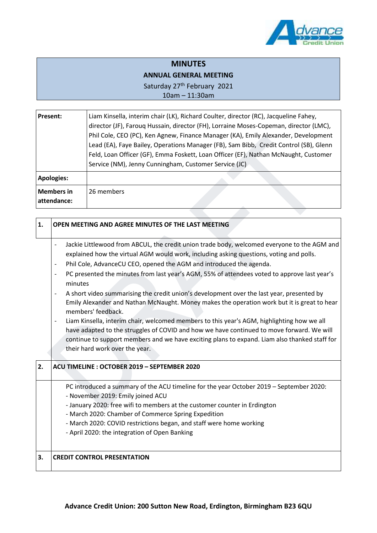

## **MINUTES**

## **ANNUAL GENERAL MEETING**

Saturday 27<sup>th</sup> February 2021

10am – 11:30am

| <b>Present:</b>                  | Liam Kinsella, interim chair (LK), Richard Coulter, director (RC), Jacqueline Fahey,<br>director (JF), Farouq Hussain, director (FH), Lorraine Moses-Copeman, director (LMC),<br>Phil Cole, CEO (PC), Ken Agnew, Finance Manager (KA), Emily Alexander, Development<br>Lead (EA), Faye Bailey, Operations Manager (FB), Sam Bibb, Credit Control (SB), Glenn<br>Feld, Loan Officer (GF), Emma Foskett, Loan Officer (EF), Nathan McNaught, Customer<br>Service (NM), Jenny Cunningham, Customer Service (JC) |
|----------------------------------|--------------------------------------------------------------------------------------------------------------------------------------------------------------------------------------------------------------------------------------------------------------------------------------------------------------------------------------------------------------------------------------------------------------------------------------------------------------------------------------------------------------|
| <b>Apologies:</b>                |                                                                                                                                                                                                                                                                                                                                                                                                                                                                                                              |
| <b>Members in</b><br>attendance: | 26 members                                                                                                                                                                                                                                                                                                                                                                                                                                                                                                   |
|                                  |                                                                                                                                                                                                                                                                                                                                                                                                                                                                                                              |

| 1. | OPEN MEETING AND AGREE MINUTES OF THE LAST MEETING                                                                                                                                                                                                                                                                                                                                                                                                                                                                                                                                                                                                                                                                                                                                                                                                                                                                                                   |
|----|------------------------------------------------------------------------------------------------------------------------------------------------------------------------------------------------------------------------------------------------------------------------------------------------------------------------------------------------------------------------------------------------------------------------------------------------------------------------------------------------------------------------------------------------------------------------------------------------------------------------------------------------------------------------------------------------------------------------------------------------------------------------------------------------------------------------------------------------------------------------------------------------------------------------------------------------------|
|    | Jackie Littlewood from ABCUL, the credit union trade body, welcomed everyone to the AGM and<br>explained how the virtual AGM would work, including asking questions, voting and polls.<br>Phil Cole, AdvanceCU CEO, opened the AGM and introduced the agenda.<br>$\overline{\phantom{a}}$<br>PC presented the minutes from last year's AGM, 55% of attendees voted to approve last year's<br>minutes<br>A short video summarising the credit union's development over the last year, presented by<br>Emily Alexander and Nathan McNaught. Money makes the operation work but it is great to hear<br>members' feedback.<br>Liam Kinsella, interim chair, welcomed members to this year's AGM, highlighting how we all<br>have adapted to the struggles of COVID and how we have continued to move forward. We will<br>continue to support members and we have exciting plans to expand. Liam also thanked staff for<br>their hard work over the year. |
| 2. | ACU TIMELINE: OCTOBER 2019 - SEPTEMBER 2020                                                                                                                                                                                                                                                                                                                                                                                                                                                                                                                                                                                                                                                                                                                                                                                                                                                                                                          |
|    | PC introduced a summary of the ACU timeline for the year October 2019 - September 2020:<br>- November 2019: Emily joined ACU<br>- January 2020: free wifi to members at the customer counter in Erdington<br>- March 2020: Chamber of Commerce Spring Expedition<br>- March 2020: COVID restrictions began, and staff were home working<br>- April 2020: the integration of Open Banking                                                                                                                                                                                                                                                                                                                                                                                                                                                                                                                                                             |
| 3. | <b>CREDIT CONTROL PRESENTATION</b>                                                                                                                                                                                                                                                                                                                                                                                                                                                                                                                                                                                                                                                                                                                                                                                                                                                                                                                   |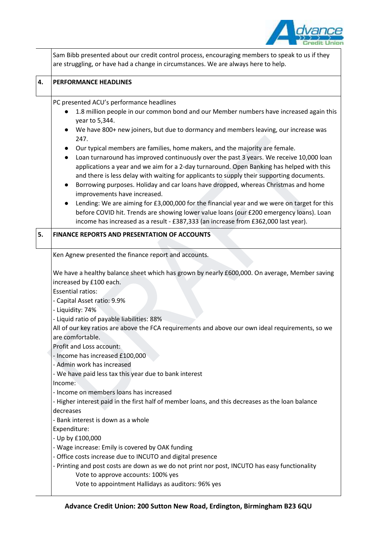

|    | Sam Bibb presented about our credit control process, encouraging members to speak to us if they<br>are struggling, or have had a change in circumstances. We are always here to help.                                                                                                                                                                                                                                                                                                                                                                                                                                                                                                                                                                                                                                                                                                                                                                                                                                                                                                                                                                        |
|----|--------------------------------------------------------------------------------------------------------------------------------------------------------------------------------------------------------------------------------------------------------------------------------------------------------------------------------------------------------------------------------------------------------------------------------------------------------------------------------------------------------------------------------------------------------------------------------------------------------------------------------------------------------------------------------------------------------------------------------------------------------------------------------------------------------------------------------------------------------------------------------------------------------------------------------------------------------------------------------------------------------------------------------------------------------------------------------------------------------------------------------------------------------------|
| 4. | <b>PERFORMANCE HEADLINES</b>                                                                                                                                                                                                                                                                                                                                                                                                                                                                                                                                                                                                                                                                                                                                                                                                                                                                                                                                                                                                                                                                                                                                 |
|    | PC presented ACU's performance headlines<br>1.8 million people in our common bond and our Member numbers have increased again this<br>year to 5,344.<br>We have 800+ new joiners, but due to dormancy and members leaving, our increase was<br>$\bullet$<br>247.<br>Our typical members are families, home makers, and the majority are female.<br>Loan turnaround has improved continuously over the past 3 years. We receive 10,000 loan<br>$\bullet$<br>applications a year and we aim for a 2-day turnaround. Open Banking has helped with this<br>and there is less delay with waiting for applicants to supply their supporting documents.<br>Borrowing purposes. Holiday and car loans have dropped, whereas Christmas and home<br>improvements have increased.<br>Lending: We are aiming for £3,000,000 for the financial year and we were on target for this<br>before COVID hit. Trends are showing lower value loans (our £200 emergency loans). Loan<br>income has increased as a result - £387,333 (an increase from £362,000 last year).                                                                                                       |
| 5. | <b>FINANCE REPORTS AND PRESENTATION OF ACCOUNTS</b>                                                                                                                                                                                                                                                                                                                                                                                                                                                                                                                                                                                                                                                                                                                                                                                                                                                                                                                                                                                                                                                                                                          |
|    | Ken Agnew presented the finance report and accounts.<br>We have a healthy balance sheet which has grown by nearly £600,000. On average, Member saving<br>increased by £100 each.<br><b>Essential ratios:</b><br>- Capital Asset ratio: 9.9%<br>- Liquidity: 74%<br>- Liquid ratio of payable liabilities: 88%<br>All of our key ratios are above the FCA requirements and above our own ideal requirements, so we<br>are comfortable.<br>Profit and Loss account:<br>- Income has increased £100,000<br>- Admin work has increased<br>- We have paid less tax this year due to bank interest<br>Income:<br>- Income on members loans has increased<br>- Higher interest paid in the first half of member loans, and this decreases as the loan balance<br>decreases<br>- Bank interest is down as a whole<br>Expenditure:<br>- Up by £100,000<br>- Wage increase: Emily is covered by OAK funding<br>- Office costs increase due to INCUTO and digital presence<br>- Printing and post costs are down as we do not print nor post, INCUTO has easy functionality<br>Vote to approve accounts: 100% yes<br>Vote to appointment Hallidays as auditors: 96% yes |